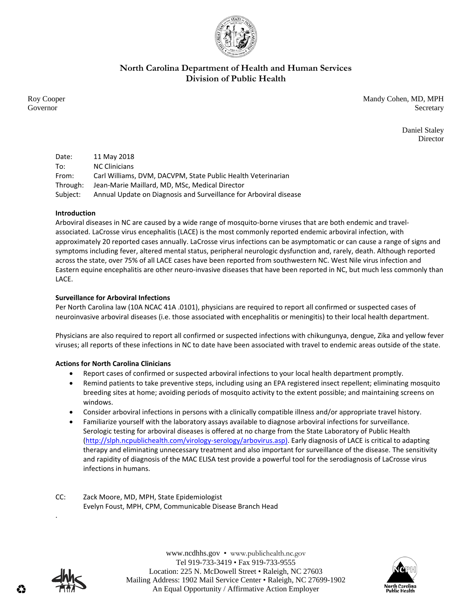

## **North Carolina Department of Health and Human Services Division of Public Health**

Roy Cooper Mandy Cohen, MD, MPH Governor Secretary Secretary Secretary Secretary Secretary Secretary Secretary Secretary Secretary Secretary Secretary Secretary Secretary Secretary Secretary Secretary Secretary Secretary Secretary Secretary Secretary Sec

> Daniel Staley Director

| Date:    | 11 May 2018                                                       |
|----------|-------------------------------------------------------------------|
| To:      | <b>NC Clinicians</b>                                              |
| From:    | Carl Williams, DVM, DACVPM, State Public Health Veterinarian      |
| Through: | Jean-Marie Maillard, MD, MSc, Medical Director                    |
| Subject: | Annual Update on Diagnosis and Surveillance for Arboviral disease |

## **Introduction**

Arboviral diseases in NC are caused by a wide range of mosquito-borne viruses that are both endemic and travelassociated. LaCrosse virus encephalitis (LACE) is the most commonly reported endemic arboviral infection, with approximately 20 reported cases annually. LaCrosse virus infections can be asymptomatic or can cause a range of signs and symptoms including fever, altered mental status, peripheral neurologic dysfunction and, rarely, death. Although reported across the state, over 75% of all LACE cases have been reported from southwestern NC. West Nile virus infection and Eastern equine encephalitis are other neuro-invasive diseases that have been reported in NC, but much less commonly than LACE.

## **Surveillance for Arboviral Infections**

Per North Carolina law (10A NCAC 41A .0101), physicians are required to report all confirmed or suspected cases of neuroinvasive arboviral diseases (i.e. those associated with encephalitis or meningitis) to their local health department.

Physicians are also required to report all confirmed or suspected infections with chikungunya, dengue, Zika and yellow fever viruses; all reports of these infections in NC to date have been associated with travel to endemic areas outside of the state.

## **Actions for North Carolina Clinicians**

- Report cases of confirmed or suspected arboviral infections to your local health department promptly.
- Remind patients to take preventive steps, including using an EPA registered insect repellent; eliminating mosquito breeding sites at home; avoiding periods of mosquito activity to the extent possible; and maintaining screens on windows.
- Consider arboviral infections in persons with a clinically compatible illness and/or appropriate travel history.
- Familiarize yourself with the laboratory assays available to diagnose arboviral infections for surveillance. Serologic testing for arboviral diseases is offered at no charge from the State Laboratory of Public Health (http://slph.ncpublichealth.com/virology‐serology/arbovirus.asp). Early diagnosis of LACE is critical to adapting therapy and eliminating unnecessary treatment and also important for surveillance of the disease. The sensitivity and rapidity of diagnosis of the MAC ELISA test provide a powerful tool for the serodiagnosis of LaCrosse virus infections in humans.
- CC: Zack Moore, MD, MPH, State Epidemiologist Evelyn Foust, MPH, CPM, Communicable Disease Branch Head



.

www.ncdhhs.gov • www.publichealth.nc.gov Tel 919-733-3419 • Fax 919-733-9555 Location: 225 N. McDowell Street • Raleigh, NC 27603 Mailing Address: 1902 Mail Service Center • Raleigh, NC 27699-1902 An Equal Opportunity / Affirmative Action Employer